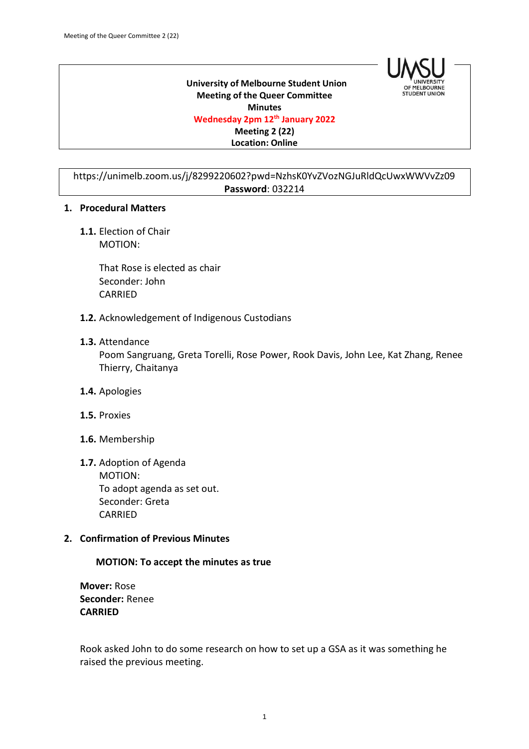

 **University of Melbourne Student Union Meeting of the Queer Committee Minutes Wednesday 2pm 12th January 2022 Meeting 2 (22) Location: Online**

https://unimelb.zoom.us/j/8299220602?pwd=NzhsK0YvZVozNGJuRldQcUwxWWVvZz09 **Password**: 032214

#### **1. Procedural Matters**

**1.1.** Election of Chair MOTION:

> That Rose is elected as chair Seconder: John CARRIED

**1.2.** Acknowledgement of Indigenous Custodians

#### **1.3.** Attendance

Poom Sangruang, Greta Torelli, Rose Power, Rook Davis, John Lee, Kat Zhang, Renee Thierry, Chaitanya

- **1.4.** Apologies
- **1.5.** Proxies
- **1.6.** Membership
- **1.7.** Adoption of Agenda MOTION: To adopt agenda as set out. Seconder: Greta **CARRIED**

#### **2. Confirmation of Previous Minutes**

#### **MOTION: To accept the minutes as true**

**Mover:** Rose **Seconder:** Renee **CARRIED**

Rook asked John to do some research on how to set up a GSA as it was something he raised the previous meeting.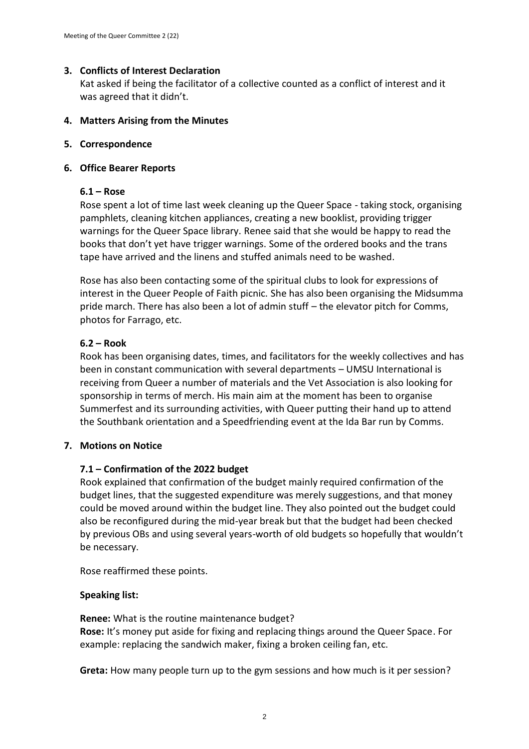# **3. Conflicts of Interest Declaration**

Kat asked if being the facilitator of a collective counted as a conflict of interest and it was agreed that it didn't.

## **4. Matters Arising from the Minutes**

## **5. Correspondence**

## **6. Office Bearer Reports**

### **6.1 – Rose**

Rose spent a lot of time last week cleaning up the Queer Space - taking stock, organising pamphlets, cleaning kitchen appliances, creating a new booklist, providing trigger warnings for the Queer Space library. Renee said that she would be happy to read the books that don't yet have trigger warnings. Some of the ordered books and the trans tape have arrived and the linens and stuffed animals need to be washed.

Rose has also been contacting some of the spiritual clubs to look for expressions of interest in the Queer People of Faith picnic. She has also been organising the Midsumma pride march. There has also been a lot of admin stuff – the elevator pitch for Comms, photos for Farrago, etc.

# **6.2 – Rook**

Rook has been organising dates, times, and facilitators for the weekly collectives and has been in constant communication with several departments – UMSU International is receiving from Queer a number of materials and the Vet Association is also looking for sponsorship in terms of merch. His main aim at the moment has been to organise Summerfest and its surrounding activities, with Queer putting their hand up to attend the Southbank orientation and a Speedfriending event at the Ida Bar run by Comms.

# **7. Motions on Notice**

# **7.1 – Confirmation of the 2022 budget**

Rook explained that confirmation of the budget mainly required confirmation of the budget lines, that the suggested expenditure was merely suggestions, and that money could be moved around within the budget line. They also pointed out the budget could also be reconfigured during the mid-year break but that the budget had been checked by previous OBs and using several years-worth of old budgets so hopefully that wouldn't be necessary.

Rose reaffirmed these points.

# **Speaking list:**

**Renee:** What is the routine maintenance budget? **Rose:** It's money put aside for fixing and replacing things around the Queer Space. For example: replacing the sandwich maker, fixing a broken ceiling fan, etc.

**Greta:** How many people turn up to the gym sessions and how much is it per session?